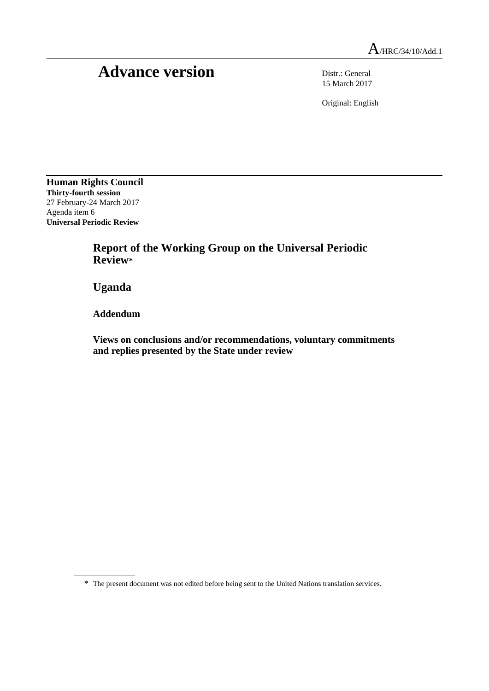## Advance version Distr.: General

15 March 2017

Original: English

**Human Rights Council Thirty-fourth session** 27 February-24 March 2017 Agenda item 6 **Universal Periodic Review**

> **Report of the Working Group on the Universal Periodic Review\***

**Uganda**

**Addendum**

**Views on conclusions and/or recommendations, voluntary commitments and replies presented by the State under review**

<sup>\*</sup> The present document was not edited before being sent to the United Nations translation services.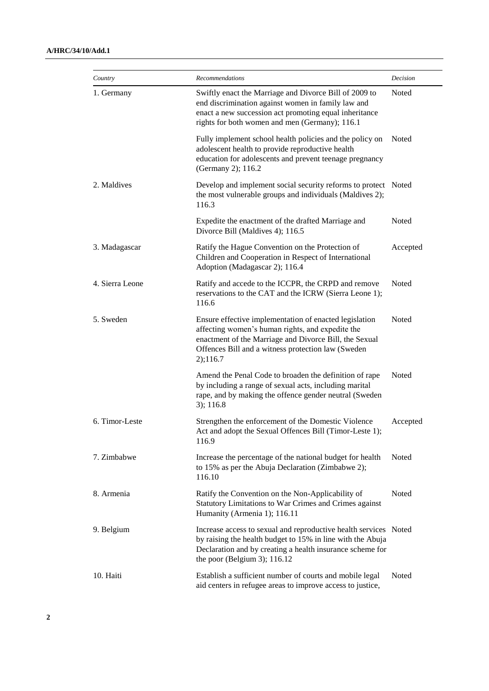| Country         | <b>Recommendations</b>                                                                                                                                                                                                                     | Decision |
|-----------------|--------------------------------------------------------------------------------------------------------------------------------------------------------------------------------------------------------------------------------------------|----------|
| 1. Germany      | Swiftly enact the Marriage and Divorce Bill of 2009 to<br>end discrimination against women in family law and<br>enact a new succession act promoting equal inheritance<br>rights for both women and men (Germany); 116.1                   | Noted    |
|                 | Fully implement school health policies and the policy on<br>adolescent health to provide reproductive health<br>education for adolescents and prevent teenage pregnancy<br>(Germany 2); 116.2                                              | Noted    |
| 2. Maldives     | Develop and implement social security reforms to protect Noted<br>the most vulnerable groups and individuals (Maldives 2);<br>116.3                                                                                                        |          |
|                 | Expedite the enactment of the drafted Marriage and<br>Divorce Bill (Maldives 4); 116.5                                                                                                                                                     | Noted    |
| 3. Madagascar   | Ratify the Hague Convention on the Protection of<br>Children and Cooperation in Respect of International<br>Adoption (Madagascar 2); 116.4                                                                                                 | Accepted |
| 4. Sierra Leone | Ratify and accede to the ICCPR, the CRPD and remove<br>reservations to the CAT and the ICRW (Sierra Leone 1);<br>116.6                                                                                                                     | Noted    |
| 5. Sweden       | Ensure effective implementation of enacted legislation<br>affecting women's human rights, and expedite the<br>enactment of the Marriage and Divorce Bill, the Sexual<br>Offences Bill and a witness protection law (Sweden<br>$2)$ ; 116.7 | Noted    |
|                 | Amend the Penal Code to broaden the definition of rape<br>by including a range of sexual acts, including marital<br>rape, and by making the offence gender neutral (Sweden<br>$3)$ ; 116.8                                                 | Noted    |
| 6. Timor-Leste  | Strengthen the enforcement of the Domestic Violence<br>Act and adopt the Sexual Offences Bill (Timor-Leste 1);<br>116.9                                                                                                                    | Accepted |
| 7. Zimbabwe     | Increase the percentage of the national budget for health<br>to 15% as per the Abuja Declaration (Zimbabwe 2);<br>116.10                                                                                                                   | Noted    |
| 8. Armenia      | Ratify the Convention on the Non-Applicability of<br>Statutory Limitations to War Crimes and Crimes against<br>Humanity (Armenia 1); 116.11                                                                                                | Noted    |
| 9. Belgium      | Increase access to sexual and reproductive health services Noted<br>by raising the health budget to 15% in line with the Abuja<br>Declaration and by creating a health insurance scheme for<br>the poor (Belgium 3); $116.12$              |          |
| 10. Haiti       | Establish a sufficient number of courts and mobile legal<br>aid centers in refugee areas to improve access to justice,                                                                                                                     | Noted    |